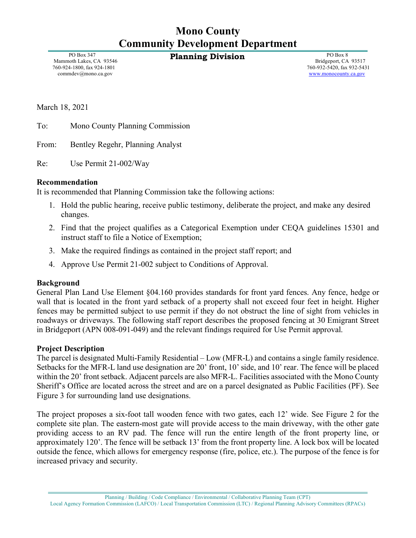# **Mono County Community Development Department**

**Planning Division** PO Box 8

 PO Box 347 Mammoth Lakes, CA 93546 760-924-1800, fax 924-1801 commdev@mono.ca.gov

 Bridgeport, CA 93517 760-932-5420, fax 932-5431 [www.monocounty.ca.gov](http://www.monocounty.ca.gov/)

March 18, 2021

To: Mono County Planning Commission

From: Bentley Regehr, Planning Analyst

Re: Use Permit 21-002/Way

#### **Recommendation**

It is recommended that Planning Commission take the following actions:

- 1. Hold the public hearing, receive public testimony, deliberate the project, and make any desired changes.
- 2. Find that the project qualifies as a Categorical Exemption under CEQA guidelines 15301 and instruct staff to file a Notice of Exemption;
- 3. Make the required findings as contained in the project staff report; and
- 4. Approve Use Permit 21-002 subject to Conditions of Approval.

#### **Background**

General Plan Land Use Element §04.160 provides standards for front yard fences. Any fence, hedge or wall that is located in the front yard setback of a property shall not exceed four feet in height. Higher fences may be permitted subject to use permit if they do not obstruct the line of sight from vehicles in roadways or driveways. The following staff report describes the proposed fencing at 30 Emigrant Street in Bridgeport (APN 008-091-049) and the relevant findings required for Use Permit approval.

#### **Project Description**

The parcel is designated Multi-Family Residential – Low (MFR-L) and contains a single family residence. Setbacks for the MFR-L land use designation are 20' front, 10' side, and 10' rear. The fence will be placed within the 20' front setback. Adjacent parcels are also MFR-L. Facilities associated with the Mono County Sheriff's Office are located across the street and are on a parcel designated as Public Facilities (PF). See Figure 3 for surrounding land use designations.

The project proposes a six-foot tall wooden fence with two gates, each 12' wide. See Figure 2 for the complete site plan. The eastern-most gate will provide access to the main driveway, with the other gate providing access to an RV pad. The fence will run the entire length of the front property line, or approximately 120'. The fence will be setback 13' from the front property line. A lock box will be located outside the fence, which allows for emergency response (fire, police, etc.). The purpose of the fence is for increased privacy and security.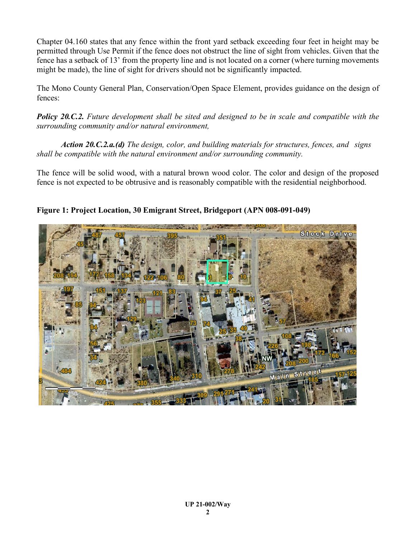Chapter 04.160 states that any fence within the front yard setback exceeding four feet in height may be permitted through Use Permit if the fence does not obstruct the line of sight from vehicles. Given that the fence has a setback of 13' from the property line and is not located on a corner (where turning movements might be made), the line of sight for drivers should not be significantly impacted.

The Mono County General Plan, Conservation/Open Space Element, provides guidance on the design of fences:

*Policy 20.C.2. Future development shall be sited and designed to be in scale and compatible with the surrounding community and/or natural environment,*

*Action 20.C.2.a.(d) The design, color, and building materials for structures, fences, and signs shall be compatible with the natural environment and/or surrounding community.* 

The fence will be solid wood, with a natural brown wood color. The color and design of the proposed fence is not expected to be obtrusive and is reasonably compatible with the residential neighborhood.



**Figure 1: Project Location, 30 Emigrant Street, Bridgeport (APN 008-091-049)**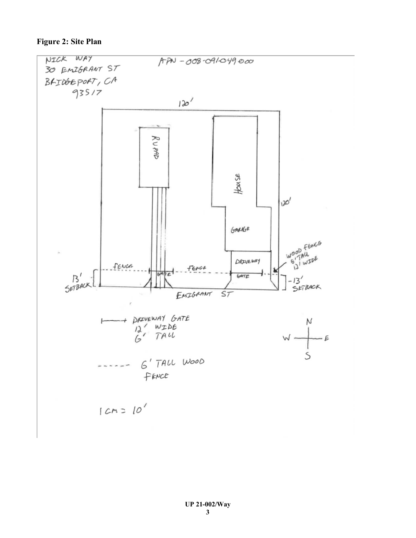### **Figure 2: Site Plan**

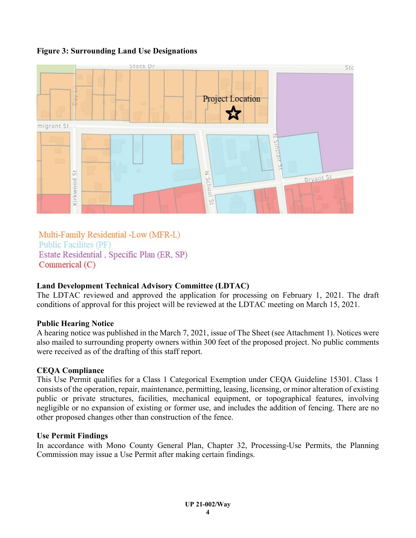## **Figure 3: Surrounding Land Use Designations**



Multi-Family Residential -Low (MFR-L) **Public Facilites (PF)** Estate Residential, Specific Plan (ER, SP) Commerical  $(C)$ 

# **Land Development Technical Advisory Committee (LDTAC)**

The LDTAC reviewed and approved the application for processing on February 1, 2021. The draft conditions of approval for this project will be reviewed at the LDTAC meeting on March 15, 2021.

# **Public Hearing Notice**

A hearing notice was published in the March 7, 2021, issue of The Sheet (see Attachment 1). Notices were also mailed to surrounding property owners within 300 feet of the proposed project. No public comments were received as of the drafting of this staff report.

## **CEQA Compliance**

This Use Permit qualifies for a Class 1 Categorical Exemption under CEQA Guideline 15301. Class 1 consists of the operation, repair, maintenance, permitting, leasing, licensing, or minor alteration of existing public or private structures, facilities, mechanical equipment, or topographical features, involving negligible or no expansion of existing or former use, and includes the addition of fencing. There are no other proposed changes other than construction of the fence.

## **Use Permit Findings**

In accordance with Mono County General Plan, Chapter 32, Processing-Use Permits, the Planning Commission may issue a Use Permit after making certain findings.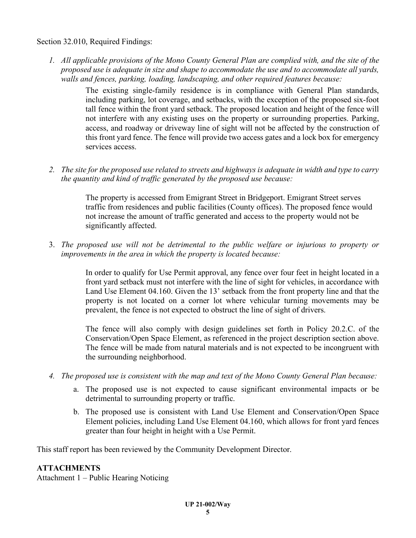Section 32.010, Required Findings:

*1. All applicable provisions of the Mono County General Plan are complied with, and the site of the proposed use is adequate in size and shape to accommodate the use and to accommodate all yards, walls and fences, parking, loading, landscaping, and other required features because:*

> The existing single-family residence is in compliance with General Plan standards, including parking, lot coverage, and setbacks, with the exception of the proposed six-foot tall fence within the front yard setback. The proposed location and height of the fence will not interfere with any existing uses on the property or surrounding properties. Parking, access, and roadway or driveway line of sight will not be affected by the construction of this front yard fence. The fence will provide two access gates and a lock box for emergency services access.

*2. The site for the proposed use related to streets and highways is adequate in width and type to carry the quantity and kind of traffic generated by the proposed use because:*

> The property is accessed from Emigrant Street in Bridgeport. Emigrant Street serves traffic from residences and public facilities (County offices). The proposed fence would not increase the amount of traffic generated and access to the property would not be significantly affected.

3. *The proposed use will not be detrimental to the public welfare or injurious to property or improvements in the area in which the property is located because:* 

> In order to qualify for Use Permit approval, any fence over four feet in height located in a front yard setback must not interfere with the line of sight for vehicles, in accordance with Land Use Element 04.160. Given the 13' setback from the front property line and that the property is not located on a corner lot where vehicular turning movements may be prevalent, the fence is not expected to obstruct the line of sight of drivers.

> The fence will also comply with design guidelines set forth in Policy 20.2.C. of the Conservation/Open Space Element, as referenced in the project description section above. The fence will be made from natural materials and is not expected to be incongruent with the surrounding neighborhood.

- *4. The proposed use is consistent with the map and text of the Mono County General Plan because:*
	- a. The proposed use is not expected to cause significant environmental impacts or be detrimental to surrounding property or traffic.
	- b. The proposed use is consistent with Land Use Element and Conservation/Open Space Element policies, including Land Use Element 04.160, which allows for front yard fences greater than four height in height with a Use Permit.

This staff report has been reviewed by the Community Development Director.

## **ATTACHMENTS**

Attachment 1 – Public Hearing Noticing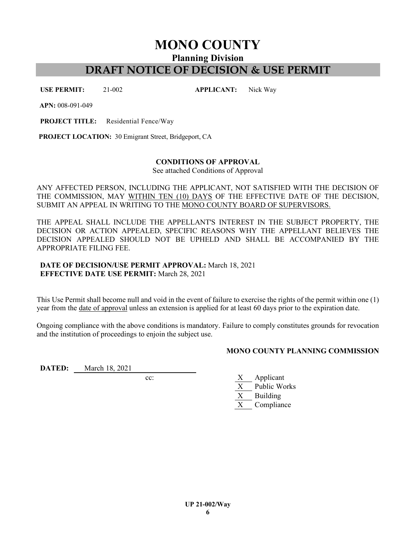**MONO COUNTY**

**Planning Division**

# **DRAFT NOTICE OF DECISION & USE PERMIT**

**USE PERMIT:** 21-002 **APPLICANT:** Nick Way

**APN:** 008-091-049

**PROJECT TITLE:** Residential Fence/Way

**PROJECT LOCATION:** 30 Emigrant Street, Bridgeport, CA

#### **CONDITIONS OF APPROVAL**

See attached Conditions of Approval

ANY AFFECTED PERSON, INCLUDING THE APPLICANT, NOT SATISFIED WITH THE DECISION OF THE COMMISSION, MAY WITHIN TEN (10) DAYS OF THE EFFECTIVE DATE OF THE DECISION, SUBMIT AN APPEAL IN WRITING TO THE MONO COUNTY BOARD OF SUPERVISORS.

THE APPEAL SHALL INCLUDE THE APPELLANT'S INTEREST IN THE SUBJECT PROPERTY, THE DECISION OR ACTION APPEALED, SPECIFIC REASONS WHY THE APPELLANT BELIEVES THE DECISION APPEALED SHOULD NOT BE UPHELD AND SHALL BE ACCOMPANIED BY THE APPROPRIATE FILING FEE.

#### **DATE OF DECISION/USE PERMIT APPROVAL:** March 18, 2021 **EFFECTIVE DATE USE PERMIT:** March 28, 2021

This Use Permit shall become null and void in the event of failure to exercise the rights of the permit within one (1) year from the date of approval unless an extension is applied for at least 60 days prior to the expiration date.

Ongoing compliance with the above conditions is mandatory. Failure to comply constitutes grounds for revocation and the institution of proceedings to enjoin the subject use.

#### **MONO COUNTY PLANNING COMMISSION**

**DATED:** March 18, 2021

- cc: X Applicant
	- Public Works
	- X Building
	- X Compliance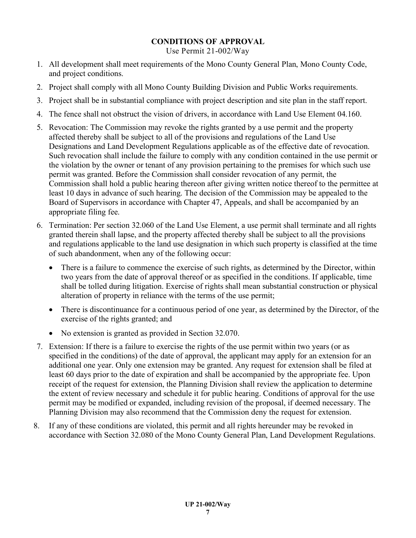## **CONDITIONS OF APPROVAL**

Use Permit 21-002/Way

- 1. All development shall meet requirements of the Mono County General Plan, Mono County Code, and project conditions.
- 2. Project shall comply with all Mono County Building Division and Public Works requirements.
- 3. Project shall be in substantial compliance with project description and site plan in the staff report.
- 4. The fence shall not obstruct the vision of drivers, in accordance with Land Use Element 04.160.
- 5. Revocation: The Commission may revoke the rights granted by a use permit and the property affected thereby shall be subject to all of the provisions and regulations of the Land Use Designations and Land Development Regulations applicable as of the effective date of revocation. Such revocation shall include the failure to comply with any condition contained in the use permit or the violation by the owner or tenant of any provision pertaining to the premises for which such use permit was granted. Before the Commission shall consider revocation of any permit, the Commission shall hold a public hearing thereon after giving written notice thereof to the permittee at least 10 days in advance of such hearing. The decision of the Commission may be appealed to the Board of Supervisors in accordance with Chapter 47, Appeals, and shall be accompanied by an appropriate filing fee.
- 6. Termination: Per section 32.060 of the Land Use Element, a use permit shall terminate and all rights granted therein shall lapse, and the property affected thereby shall be subject to all the provisions and regulations applicable to the land use designation in which such property is classified at the time of such abandonment, when any of the following occur:
	- There is a failure to commence the exercise of such rights, as determined by the Director, within two years from the date of approval thereof or as specified in the conditions. If applicable, time shall be tolled during litigation. Exercise of rights shall mean substantial construction or physical alteration of property in reliance with the terms of the use permit;
	- There is discontinuance for a continuous period of one year, as determined by the Director, of the exercise of the rights granted; and
	- No extension is granted as provided in Section 32.070.
- 7. Extension: If there is a failure to exercise the rights of the use permit within two years (or as specified in the conditions) of the date of approval, the applicant may apply for an extension for an additional one year. Only one extension may be granted. Any request for extension shall be filed at least 60 days prior to the date of expiration and shall be accompanied by the appropriate fee. Upon receipt of the request for extension, the Planning Division shall review the application to determine the extent of review necessary and schedule it for public hearing. Conditions of approval for the use permit may be modified or expanded, including revision of the proposal, if deemed necessary. The Planning Division may also recommend that the Commission deny the request for extension.
- 8. If any of these conditions are violated, this permit and all rights hereunder may be revoked in accordance with Section 32.080 of the Mono County General Plan, Land Development Regulations.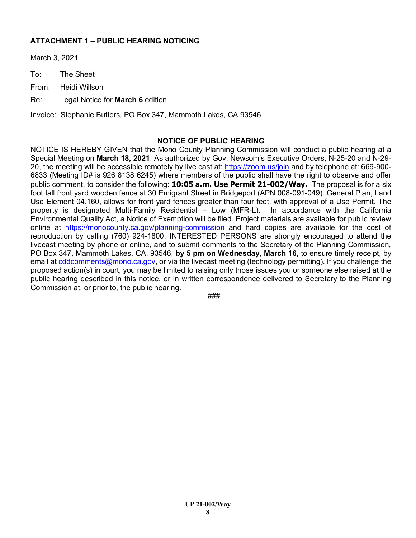## **ATTACHMENT 1 – PUBLIC HEARING NOTICING**

March 3, 2021

To: The Sheet

From: Heidi Willson

Re: Legal Notice for **March 6** edition

Invoice: Stephanie Butters, PO Box 347, Mammoth Lakes, CA 93546

#### **NOTICE OF PUBLIC HEARING**

NOTICE IS HEREBY GIVEN that the Mono County Planning Commission will conduct a public hearing at a Special Meeting on **March 18, 2021**. As authorized by Gov. Newsom's Executive Orders, N-25-20 and N-29- 20, the meeting will be accessible remotely by live cast at:<https://zoom.us/join> and by telephone at: 669-900- 6833 (Meeting ID# is 926 8138 6245) where members of the public shall have the right to observe and offer public comment, to consider the following: **10:05 a.m. Use Permit 21-002/Way.** The proposal is for a six foot tall front yard wooden fence at 30 Emigrant Street in Bridgeport (APN 008-091-049). General Plan, Land Use Element 04.160, allows for front yard fences greater than four feet, with approval of a Use Permit. The property is designated Multi-Family Residential – Low (MFR-L). In accordance with the California Environmental Quality Act, a Notice of Exemption will be filed. Project materials are available for public review online at <https://monocounty.ca.gov/planning-commission> and hard copies are available for the cost of reproduction by calling (760) 924-1800. INTERESTED PERSONS are strongly encouraged to attend the livecast meeting by phone or online, and to submit comments to the Secretary of the Planning Commission, PO Box 347, Mammoth Lakes, CA, 93546, **by 5 pm on Wednesday, March 16,** to ensure timely receipt, by email at [cddcomments@mono.ca.gov,](mailto:cddcomments@mono.ca.gov) or via the livecast meeting (technology permitting). If you challenge the proposed action(s) in court, you may be limited to raising only those issues you or someone else raised at the public hearing described in this notice, or in written correspondence delivered to Secretary to the Planning Commission at, or prior to, the public hearing.

###